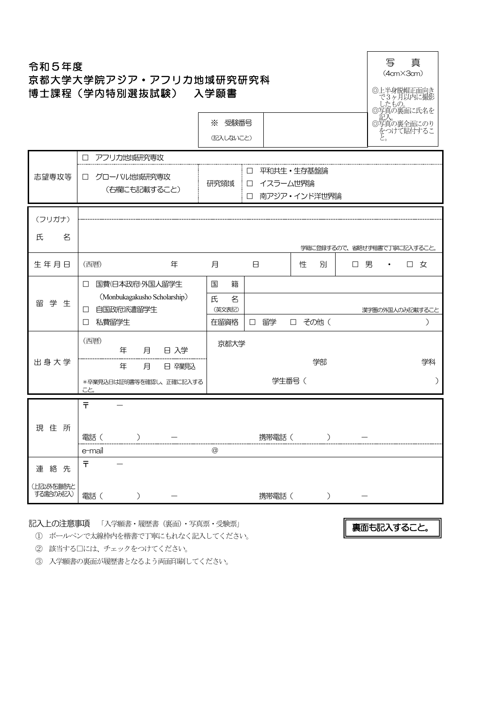# 令和5年度 京都大学大学院アジア・アフリカ地域研究研究科 博士課程(学内特別選抜試験) 入学願書



※ 受験番号 (記入しないこと)

|                        | アフリカ地或研究専攻<br>П                                     |                  |                                        |                              |     |                             |
|------------------------|-----------------------------------------------------|------------------|----------------------------------------|------------------------------|-----|-----------------------------|
| 志望専攻等                  | グローバル地域研究専攻<br>$\Box$<br>(右欄にも記載すること)               | 研究領域             | $\Box$<br>イスラーム世界論<br>$\Box$<br>$\Box$ | 平和共生 • 生存基盤論<br>南アジア・インド洋世界論 |     |                             |
| (フリガナ)                 |                                                     |                  |                                        |                              |     |                             |
| 氏<br>名                 |                                                     |                  |                                        |                              |     | 学籍に登録するので、省略せず楷書で丁寧に記入すること。 |
| 生年月日                   | (西暦)<br>年                                           | 月                | $\boxminus$                            | 別<br>性                       | 口 男 | $\Box$<br>女<br>$\bullet$    |
|                        | 国費(日本政府)外国人留学生<br>$\Box$                            | 国<br>籍           |                                        |                              |     |                             |
| 留学生                    | (Monbukagakusho Scholarship)<br>自国政府派遣留学生<br>$\Box$ | 氏<br>名<br>(英文表記) |                                        |                              |     | 漢字圏の外国人のみ記載すること             |
|                        | 私費留学生<br>$\Box$                                     | 在留資格             | 留学<br>$\Box$                           | □ その他 (                      |     | ⟩                           |
|                        | (西暦)<br>月<br>日入学<br>年                               | 京都大学             |                                        |                              |     |                             |
| 出身大学                   | 年<br>月<br>日 碎親込                                     |                  |                                        | 学部                           |     | 学科                          |
|                        | *卒業見込日は証明書等を確認し、正確に記入する<br>こと。                      |                  |                                        | 学生番号(                        |     | $\mathcal{C}$               |
|                        | Ŧ                                                   |                  |                                        |                              |     |                             |
| 住所<br>現                |                                                     |                  |                                        |                              |     |                             |
|                        | 電話 (<br>$\mathcal{C}$                               |                  | 携帯電話(                                  | $\mathcal{C}$                |     |                             |
|                        | e-mail                                              | $\circledcirc$   |                                        |                              |     |                             |
| 連絡先                    | $\bar{\tau}$                                        |                  |                                        |                              |     |                             |
| (上記以外を連絡先と<br>する場合のみ記入 | 電話 (                                                |                  | 携帯電話(                                  | $\big)$                      |     |                             |

記入上の注意事項 「入学願書・履歴書(裏面)・写真票・受験票」

① ボールペンで太線枠内を楷書で丁寧にもれなく記入してください。

裏面も記入すること。

② 該当する□には、チェックをつけてください。

③ 入学願書の裏面が履歴書となるよう両面印刷してください。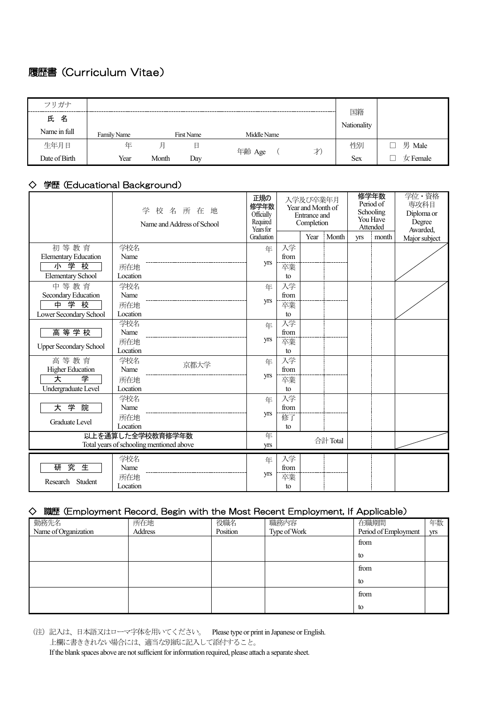## 履歴書(Curriculum Vitae)

| フリガナ          |             |       |            |             |                   |              |
|---------------|-------------|-------|------------|-------------|-------------------|--------------|
| 氏名            |             |       |            |             | 国籍<br>Nationality |              |
| Name in full  | Family Name |       | First Name | Middle Name |                   |              |
| 生年月日          | 年           | 月     | 日          | 才<br>年齢 Age | 性別                | 男 Male       |
| Date of Birth | Year        | Month | Day        |             | <b>Sex</b>        | $\pm$ Female |

### ◇ 学歴(Educational Background)

|                               | 校名所在地<br>学<br>Name and Address of School                     | 正規の<br>修学年数<br>Officially<br>Required<br>Years for<br>Graduation |      | 入学及び卒業年月<br>Year and Month of<br><b>Entrance</b> and<br>Completion<br>Year | Month    | yrs | 修学年数<br>Period of<br>Schooling<br>You Have<br>Attended<br>month | 学位・資格<br>専攻科目<br>Diploma or<br>Degree<br>Awarded,<br>Major subject |
|-------------------------------|--------------------------------------------------------------|------------------------------------------------------------------|------|----------------------------------------------------------------------------|----------|-----|-----------------------------------------------------------------|--------------------------------------------------------------------|
| 初等教育                          | 学校名                                                          | 年                                                                | 入学   |                                                                            |          |     |                                                                 |                                                                    |
| <b>Elementary Education</b>   | Name                                                         |                                                                  | from |                                                                            |          |     |                                                                 |                                                                    |
| 小学校                           | 所在地                                                          | yrs                                                              | 卒業   |                                                                            |          |     |                                                                 |                                                                    |
| <b>Elementary School</b>      | Location                                                     |                                                                  | to   |                                                                            |          |     |                                                                 |                                                                    |
| 中等教育                          | 学校名                                                          | 年                                                                | 入学   |                                                                            |          |     |                                                                 |                                                                    |
| Secondary Education           | Name                                                         |                                                                  | from |                                                                            |          |     |                                                                 |                                                                    |
| 学校<br>中                       | 所在地                                                          | <b>yrs</b>                                                       | 卒業   |                                                                            |          |     |                                                                 |                                                                    |
| Lower Secondary School        | Location                                                     |                                                                  | to   |                                                                            |          |     |                                                                 |                                                                    |
|                               | 学校名                                                          | 年                                                                | 入学   |                                                                            |          |     |                                                                 |                                                                    |
| 高等学校                          | Name                                                         |                                                                  | from |                                                                            |          |     |                                                                 |                                                                    |
| <b>Upper Secondary School</b> | 所在地                                                          | yrs                                                              | 卒業   |                                                                            |          |     |                                                                 |                                                                    |
|                               | Location                                                     |                                                                  | to   |                                                                            |          |     |                                                                 |                                                                    |
| 高等教育                          | 学校名<br>京都大学                                                  | 年                                                                | 入学   |                                                                            |          |     |                                                                 |                                                                    |
| <b>Higher Education</b>       | Name                                                         | <b>yrs</b>                                                       | from |                                                                            |          |     |                                                                 |                                                                    |
| 天<br>学                        | 所在地                                                          |                                                                  | 卒業   |                                                                            |          |     |                                                                 |                                                                    |
| Undergraduate Level           | Location                                                     |                                                                  | to   |                                                                            |          |     |                                                                 |                                                                    |
|                               | 学校名                                                          | 年                                                                | 入学   |                                                                            |          |     |                                                                 |                                                                    |
| 大学<br>院                       | Name                                                         | yrs                                                              | from |                                                                            |          |     |                                                                 |                                                                    |
| <b>Graduate Level</b>         | 所在地<br>Location                                              |                                                                  | 修了   |                                                                            |          |     |                                                                 |                                                                    |
|                               |                                                              |                                                                  | to   |                                                                            |          |     |                                                                 |                                                                    |
|                               | 以上を通算した全学校教育修学年数<br>Total years of schooling mentioned above | 年                                                                |      |                                                                            | 合計 Total |     |                                                                 |                                                                    |
|                               |                                                              | yrs                                                              |      |                                                                            |          |     |                                                                 |                                                                    |
|                               | 学校名                                                          | 年                                                                | 入学   |                                                                            |          |     |                                                                 |                                                                    |
| 究<br>生<br>研                   | Name                                                         |                                                                  | from |                                                                            |          |     |                                                                 |                                                                    |
| Research<br>Student           | 所在地                                                          | <b>yrs</b>                                                       | 卒業   |                                                                            |          |     |                                                                 |                                                                    |
|                               | Location                                                     |                                                                  | to   |                                                                            |          |     |                                                                 |                                                                    |

## ◇ 職歴(Employment Record. Begin with the Most Recent Employment, If Applicable)

| 勤務先名                 | 所在地     | 役職名      | 職務内容         | 在職期間                 | 年数  |
|----------------------|---------|----------|--------------|----------------------|-----|
| Name of Organization | Address | Position | Type of Work | Period of Employment | yrs |
|                      |         |          |              | from                 |     |
|                      |         |          |              | to                   |     |
|                      |         |          |              | from                 |     |
|                      |         |          |              | to                   |     |
|                      |         |          |              | from                 |     |
|                      |         |          |              | to                   |     |

(注)記入は、日本語又はローマ字体を用いてください。 Please type or print in Japanese or English. 上欄に書ききれない場合には、適当な別紙に記入して添付すること。 If the blank spaces above are not sufficient for information required, please attach a separate sheet.